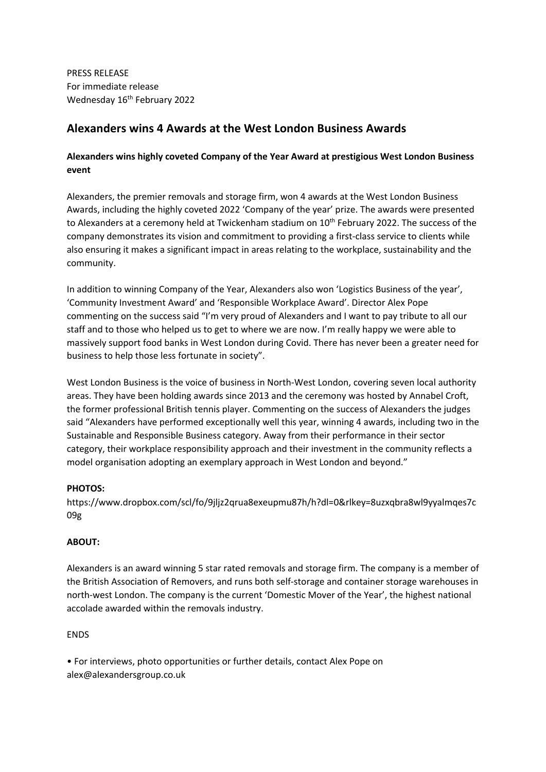PRESS RELEASE For immediate release Wednesday 16<sup>th</sup> February 2022

# **Alexanders wins 4 Awards at the West London Business Awards**

## **Alexanders wins highly coveted Company of the Year Award at prestigious West London Business event**

Alexanders, the premier removals and storage firm, won 4 awards at the West London Business Awards, including the highly coveted 2022 'Company of the year' prize. The awards were presented to Alexanders at a ceremony held at Twickenham stadium on 10<sup>th</sup> February 2022. The success of the company demonstrates its vision and commitment to providing a first-class service to clients while also ensuring it makes a significant impact in areas relating to the workplace, sustainability and the community.

In addition to winning Company of the Year, Alexanders also won 'Logistics Business of the year', 'Community Investment Award' and 'Responsible Workplace Award'. Director Alex Pope commenting on the success said "I'm very proud of Alexanders and I want to pay tribute to all our staff and to those who helped us to get to where we are now. I'm really happy we were able to massively support food banks in West London during Covid. There has never been a greater need for business to help those less fortunate in society".

West London Business is the voice of business in North-West London, covering seven local authority areas. They have been holding awards since 2013 and the ceremony was hosted by Annabel Croft, the former professional British tennis player. Commenting on the success of Alexanders the judges said "Alexanders have performed exceptionally well this year, winning 4 awards, including two in the Sustainable and Responsible Business category. Away from their performance in their sector category, their workplace responsibility approach and their investment in the community reflects a model organisation adopting an exemplary approach in West London and beyond."

### **PHOTOS:**

https://www.dropbox.com/scl/fo/9jljz2qrua8exeupmu87h/h?dl=0&rlkey=8uzxqbra8wl9yyalmqes7c 09g

### **ABOUT:**

Alexanders is an award winning 5 star rated removals and storage firm. The company is a member of the British Association of Removers, and runs both self-storage and container storage warehouses in north-west London. The company is the current 'Domestic Mover of the Year', the highest national accolade awarded within the removals industry.

### ENDS

• For interviews, photo opportunities or further details, contact Alex Pope on alex@alexandersgroup.co.uk